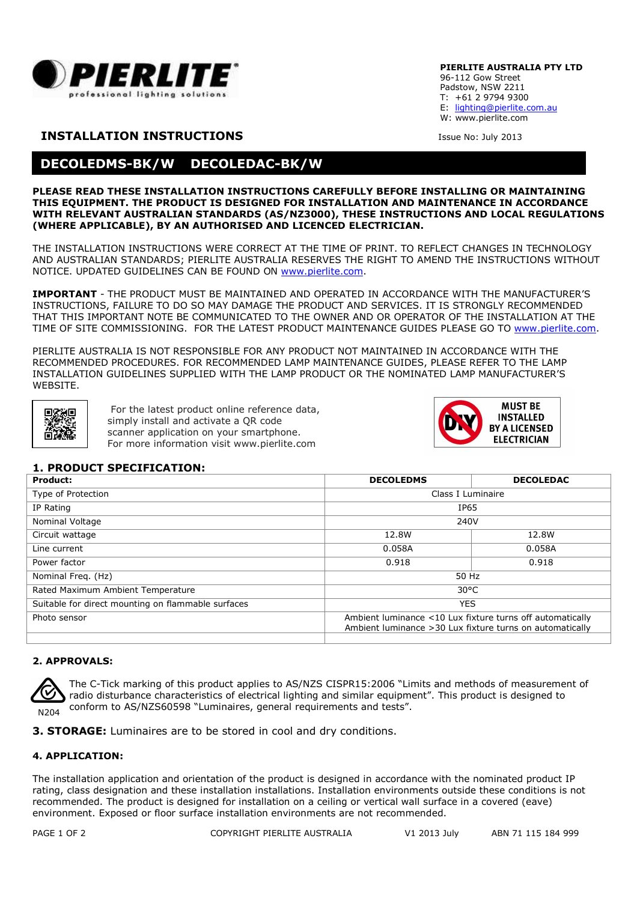

#### **PIERLITE AUSTRALIA PTY LTD**

96-112 Gow Street Padstow, NSW 2211 T: +61 2 9794 9300 E: lighting@pierlite.com.au W: www.pierlite.com

# **INSTALLATION INSTRUCTIONS** ISSUE No: July 2013

# **DECOLEDMS-BK/W DECOLEDAC-BK/W**

#### **PLEASE READ THESE INSTALLATION INSTRUCTIONS CAREFULLY BEFORE INSTALLING OR MAINTAINING THIS EQUIPMENT. THE PRODUCT IS DESIGNED FOR INSTALLATION AND MAINTENANCE IN ACCORDANCE WITH RELEVANT AUSTRALIAN STANDARDS (AS/NZ3000), THESE INSTRUCTIONS AND LOCAL REGULATIONS (WHERE APPLICABLE), BY AN AUTHORISED AND LICENCED ELECTRICIAN.**

THE INSTALLATION INSTRUCTIONS WERE CORRECT AT THE TIME OF PRINT. TO REFLECT CHANGES IN TECHNOLOGY AND AUSTRALIAN STANDARDS; PIERLITE AUSTRALIA RESERVES THE RIGHT TO AMEND THE INSTRUCTIONS WITHOUT NOTICE. UPDATED GUIDELINES CAN BE FOUND ON www.pierlite.com.

**IMPORTANT** - THE PRODUCT MUST BE MAINTAINED AND OPERATED IN ACCORDANCE WITH THE MANUFACTURER'S INSTRUCTIONS, FAILURE TO DO SO MAY DAMAGE THE PRODUCT AND SERVICES. IT IS STRONGLY RECOMMENDED THAT THIS IMPORTANT NOTE BE COMMUNICATED TO THE OWNER AND OR OPERATOR OF THE INSTALLATION AT THE TIME OF SITE COMMISSIONING. FOR THE LATEST PRODUCT MAINTENANCE GUIDES PLEASE GO TO www.pierlite.com.

PIERLITE AUSTRALIA IS NOT RESPONSIBLE FOR ANY PRODUCT NOT MAINTAINED IN ACCORDANCE WITH THE RECOMMENDED PROCEDURES. FOR RECOMMENDED LAMP MAINTENANCE GUIDES, PLEASE REFER TO THE LAMP INSTALLATION GUIDELINES SUPPLIED WITH THE LAMP PRODUCT OR THE NOMINATED LAMP MANUFACTURER'S **WEBSITE** 



For the latest product online reference data, simply install and activate a QR code scanner application on your smartphone. For more information visit www.pierlite.com



## **1. PRODUCT SPECIFICATION:**

| Product:                                           | <b>DECOLEDMS</b>                                                                                                       | <b>DECOLEDAC</b> |
|----------------------------------------------------|------------------------------------------------------------------------------------------------------------------------|------------------|
| Type of Protection                                 | Class I Luminaire                                                                                                      |                  |
| IP Rating                                          | IP65                                                                                                                   |                  |
| Nominal Voltage                                    | 240V                                                                                                                   |                  |
| Circuit wattage                                    | 12.8W                                                                                                                  | 12.8W            |
| Line current                                       | 0.058A                                                                                                                 | 0.058A           |
| Power factor                                       | 0.918                                                                                                                  | 0.918            |
| Nominal Freq. (Hz)                                 | 50 Hz                                                                                                                  |                  |
| Rated Maximum Ambient Temperature                  | $30^{\circ}$ C                                                                                                         |                  |
| Suitable for direct mounting on flammable surfaces | <b>YES</b>                                                                                                             |                  |
| Photo sensor                                       | Ambient luminance <10 Lux fixture turns off automatically<br>Ambient luminance > 30 Lux fixture turns on automatically |                  |

#### **2. APPROVALS:**



The C-Tick marking of this product applies to AS/NZS CISPR15:2006 "Limits and methods of measurement of radio disturbance characteristics of electrical lighting and similar equipment". This product is designed to conform to AS/NZS60598 "Luminaires, general requirements and tests".

**3. STORAGE:** Luminaires are to be stored in cool and dry conditions.

## **4. APPLICATION:**

The installation application and orientation of the product is designed in accordance with the nominated product IP rating, class designation and these installation installations. Installation environments outside these conditions is not recommended. The product is designed for installation on a ceiling or vertical wall surface in a covered (eave) environment. Exposed or floor surface installation environments are not recommended.